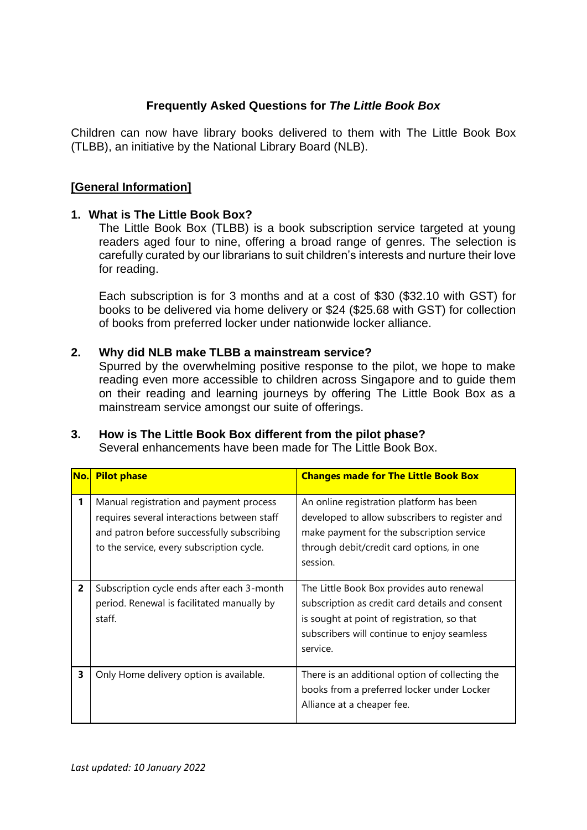# **Frequently Asked Questions for** *The Little Book Box*

Children can now have library books delivered to them with The Little Book Box (TLBB), an initiative by the National Library Board (NLB).

# **[General Information]**

### **1. What is The Little Book Box?**

The Little Book Box (TLBB) is a book subscription service targeted at young readers aged four to nine, offering a broad range of genres. The selection is carefully curated by our librarians to suit children's interests and nurture their love for reading.

Each subscription is for 3 months and at a cost of \$30 (\$32.10 with GST) for books to be delivered via home delivery or \$24 (\$25.68 with GST) for collection of books from preferred locker under nationwide locker alliance.

### **2. Why did NLB make TLBB a mainstream service?**

Spurred by the overwhelming positive response to the pilot, we hope to make reading even more accessible to children across Singapore and to guide them on their reading and learning journeys by offering The Little Book Box as a mainstream service amongst our suite of offerings.

# **3. How is The Little Book Box different from the pilot phase?**

Several enhancements have been made for The Little Book Box.

| No.            | <b>Pilot phase</b>                                                                                                                                                                | <b>Changes made for The Little Book Box</b>                                                                                                                                                            |
|----------------|-----------------------------------------------------------------------------------------------------------------------------------------------------------------------------------|--------------------------------------------------------------------------------------------------------------------------------------------------------------------------------------------------------|
| 1              | Manual registration and payment process<br>requires several interactions between staff<br>and patron before successfully subscribing<br>to the service, every subscription cycle. | An online registration platform has been<br>developed to allow subscribers to register and<br>make payment for the subscription service<br>through debit/credit card options, in one<br>session.       |
| $\overline{2}$ | Subscription cycle ends after each 3-month<br>period. Renewal is facilitated manually by<br>staff.                                                                                | The Little Book Box provides auto renewal<br>subscription as credit card details and consent<br>is sought at point of registration, so that<br>subscribers will continue to enjoy seamless<br>service. |
| 3              | Only Home delivery option is available.                                                                                                                                           | There is an additional option of collecting the<br>books from a preferred locker under Locker<br>Alliance at a cheaper fee.                                                                            |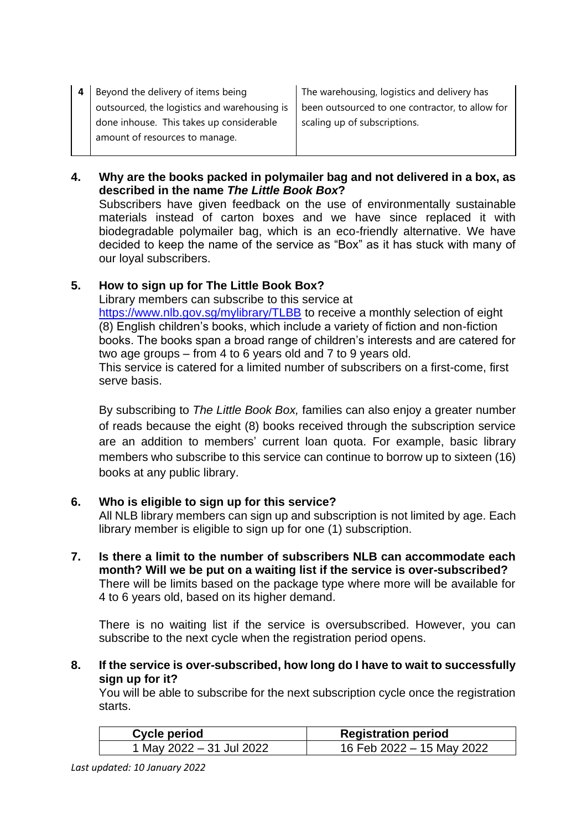**4** Beyond the delivery of items being outsourced, the logistics and warehousing is done inhouse. This takes up considerable amount of resources to manage.

The warehousing, logistics and delivery has been outsourced to one contractor, to allow for scaling up of subscriptions.

**4. Why are the books packed in polymailer bag and not delivered in a box, as described in the name** *The Little Book Box***?**

Subscribers have given feedback on the use of environmentally sustainable materials instead of carton boxes and we have since replaced it with biodegradable polymailer bag, which is an eco-friendly alternative. We have decided to keep the name of the service as "Box" as it has stuck with many of our loyal subscribers.

# **5. How to sign up for The Little Book Box?**

Library members can subscribe to this service at <https://www.nlb.gov.sg/mylibrary/TLBB> to receive a monthly selection of eight (8) English children's books, which include a variety of fiction and non-fiction books. The books span a broad range of children's interests and are catered for two age groups – from 4 to 6 years old and 7 to 9 years old.

This service is catered for a limited number of subscribers on a first-come, first serve basis.

By subscribing to *The Little Book Box,* families can also enjoy a greater number of reads because the eight (8) books received through the subscription service are an addition to members' current loan quota. For example, basic library members who subscribe to this service can continue to borrow up to sixteen (16) books at any public library.

# **6. Who is eligible to sign up for this service?**

All NLB library members can sign up and subscription is not limited by age. Each library member is eligible to sign up for one (1) subscription.

**7. Is there a limit to the number of subscribers NLB can accommodate each month? Will we be put on a waiting list if the service is over-subscribed?**  There will be limits based on the package type where more will be available for 4 to 6 years old, based on its higher demand.

There is no waiting list if the service is oversubscribed. However, you can subscribe to the next cycle when the registration period opens.

**8. If the service is over-subscribed, how long do I have to wait to successfully sign up for it?**

You will be able to subscribe for the next subscription cycle once the registration starts.

| <b>Cycle period</b>      | <b>Registration period</b> |
|--------------------------|----------------------------|
| 1 May 2022 – 31 Jul 2022 | 16 Feb 2022 – 15 May 2022  |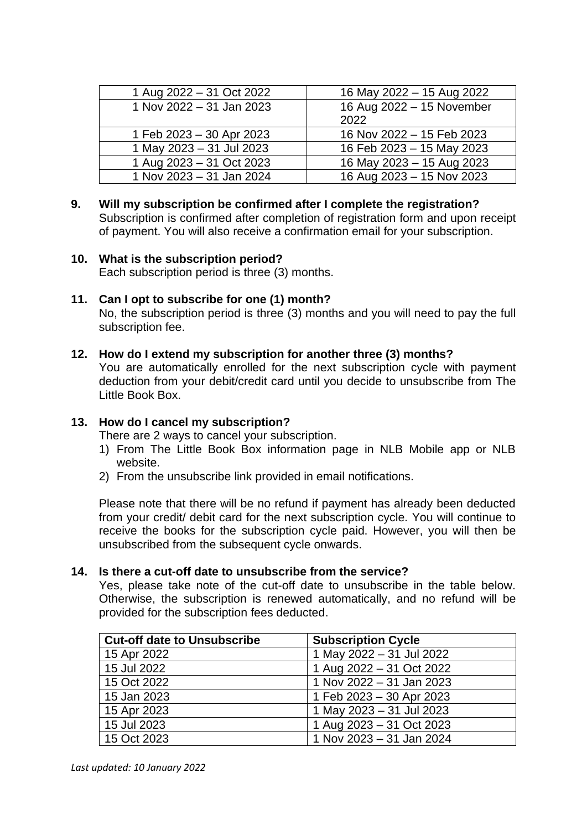| 1 Aug 2022 - 31 Oct 2022 | 16 May 2022 - 15 Aug 2022 |
|--------------------------|---------------------------|
| 1 Nov 2022 - 31 Jan 2023 | 16 Aug 2022 - 15 November |
|                          | 2022                      |
| 1 Feb 2023 - 30 Apr 2023 | 16 Nov 2022 - 15 Feb 2023 |
| 1 May 2023 - 31 Jul 2023 | 16 Feb 2023 - 15 May 2023 |
| 1 Aug 2023 - 31 Oct 2023 | 16 May 2023 - 15 Aug 2023 |
| 1 Nov 2023 - 31 Jan 2024 | 16 Aug 2023 - 15 Nov 2023 |

**9. Will my subscription be confirmed after I complete the registration?** Subscription is confirmed after completion of registration form and upon receipt of payment. You will also receive a confirmation email for your subscription.

#### **10. What is the subscription period?**

Each subscription period is three (3) months.

#### **11. Can I opt to subscribe for one (1) month?**

No, the subscription period is three (3) months and you will need to pay the full subscription fee.

**12. How do I extend my subscription for another three (3) months?** 

You are automatically enrolled for the next subscription cycle with payment deduction from your debit/credit card until you decide to unsubscribe from The Little Book Box.

#### **13. How do I cancel my subscription?**

There are 2 ways to cancel your subscription.

- 1) From The Little Book Box information page in NLB Mobile app or NLB website.
- 2) From the unsubscribe link provided in email notifications.

Please note that there will be no refund if payment has already been deducted from your credit/ debit card for the next subscription cycle. You will continue to receive the books for the subscription cycle paid. However, you will then be unsubscribed from the subsequent cycle onwards.

#### **14. Is there a cut-off date to unsubscribe from the service?**

Yes, please take note of the cut-off date to unsubscribe in the table below. Otherwise, the subscription is renewed automatically, and no refund will be provided for the subscription fees deducted.

| <b>Cut-off date to Unsubscribe</b> | <b>Subscription Cycle</b> |
|------------------------------------|---------------------------|
| 15 Apr 2022                        | 1 May 2022 - 31 Jul 2022  |
| 15 Jul 2022                        | 1 Aug 2022 - 31 Oct 2022  |
| 15 Oct 2022                        | 1 Nov 2022 - 31 Jan 2023  |
| 15 Jan 2023                        | 1 Feb 2023 - 30 Apr 2023  |
| 15 Apr 2023                        | 1 May 2023 - 31 Jul 2023  |
| 15 Jul 2023                        | 1 Aug 2023 - 31 Oct 2023  |
| 15 Oct 2023                        | 1 Nov 2023 - 31 Jan 2024  |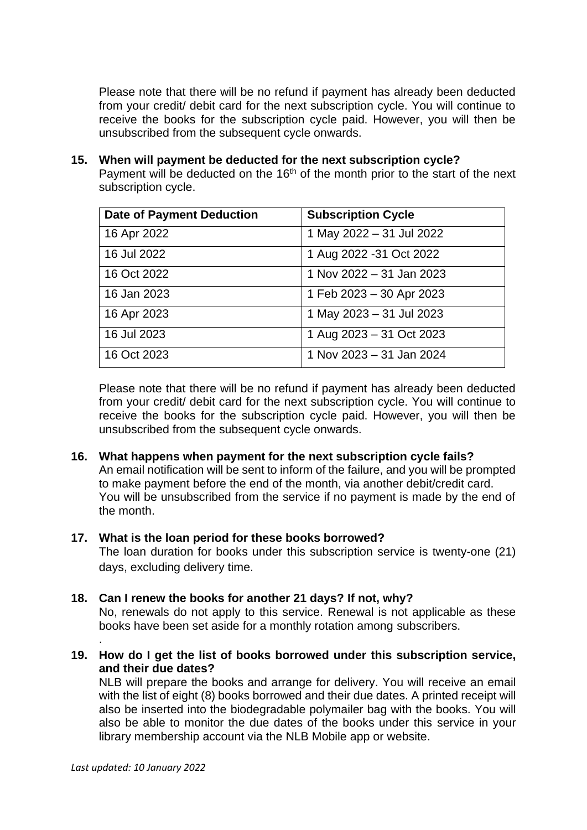Please note that there will be no refund if payment has already been deducted from your credit/ debit card for the next subscription cycle. You will continue to receive the books for the subscription cycle paid. However, you will then be unsubscribed from the subsequent cycle onwards.

**15. When will payment be deducted for the next subscription cycle?** 

Payment will be deducted on the  $16<sup>th</sup>$  of the month prior to the start of the next subscription cycle.

| <b>Date of Payment Deduction</b> | <b>Subscription Cycle</b> |
|----------------------------------|---------------------------|
| 16 Apr 2022                      | 1 May 2022 - 31 Jul 2022  |
| 16 Jul 2022                      | 1 Aug 2022 - 31 Oct 2022  |
| 16 Oct 2022                      | 1 Nov 2022 - 31 Jan 2023  |
| 16 Jan 2023                      | 1 Feb 2023 - 30 Apr 2023  |
| 16 Apr 2023                      | 1 May 2023 - 31 Jul 2023  |
| 16 Jul 2023                      | 1 Aug 2023 - 31 Oct 2023  |
| 16 Oct 2023                      | 1 Nov 2023 - 31 Jan 2024  |

Please note that there will be no refund if payment has already been deducted from your credit/ debit card for the next subscription cycle. You will continue to receive the books for the subscription cycle paid. However, you will then be unsubscribed from the subsequent cycle onwards.

#### **16. What happens when payment for the next subscription cycle fails?**

An email notification will be sent to inform of the failure, and you will be prompted to make payment before the end of the month, via another debit/credit card. You will be unsubscribed from the service if no payment is made by the end of the month.

#### **17. What is the loan period for these books borrowed?**

The loan duration for books under this subscription service is twenty-one (21) days, excluding delivery time.

# **18. Can I renew the books for another 21 days? If not, why?**

No, renewals do not apply to this service. Renewal is not applicable as these books have been set aside for a monthly rotation among subscribers.

**19. How do I get the list of books borrowed under this subscription service, and their due dates?** 

NLB will prepare the books and arrange for delivery. You will receive an email with the list of eight (8) books borrowed and their due dates. A printed receipt will also be inserted into the biodegradable polymailer bag with the books. You will also be able to monitor the due dates of the books under this service in your library membership account via the NLB Mobile app or website.

.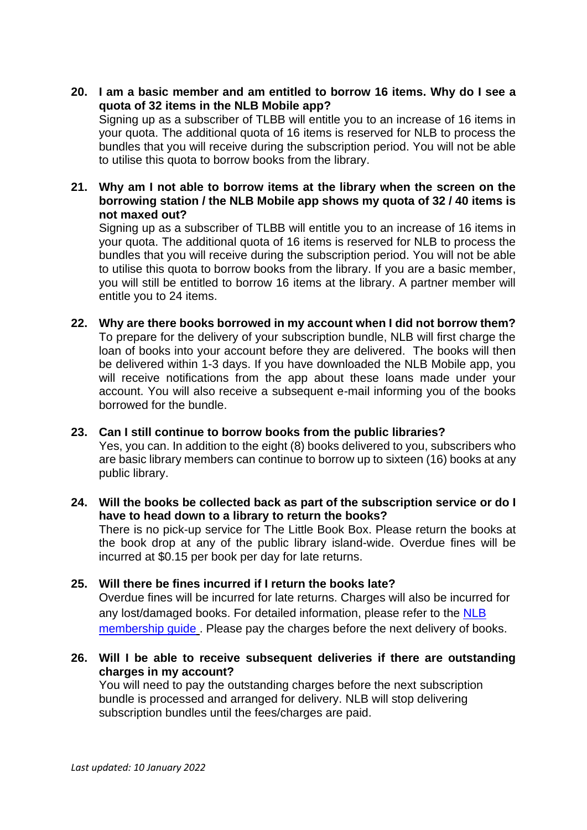**20. I am a basic member and am entitled to borrow 16 items. Why do I see a quota of 32 items in the NLB Mobile app?** 

Signing up as a subscriber of TLBB will entitle you to an increase of 16 items in your quota. The additional quota of 16 items is reserved for NLB to process the bundles that you will receive during the subscription period. You will not be able to utilise this quota to borrow books from the library.

**21. Why am I not able to borrow items at the library when the screen on the borrowing station / the NLB Mobile app shows my quota of 32 / 40 items is not maxed out?** 

Signing up as a subscriber of TLBB will entitle you to an increase of 16 items in your quota. The additional quota of 16 items is reserved for NLB to process the bundles that you will receive during the subscription period. You will not be able to utilise this quota to borrow books from the library. If you are a basic member, you will still be entitled to borrow 16 items at the library. A partner member will entitle you to 24 items.

- **22. Why are there books borrowed in my account when I did not borrow them?**  To prepare for the delivery of your subscription bundle, NLB will first charge the loan of books into your account before they are delivered. The books will then be delivered within 1-3 days. If you have downloaded the NLB Mobile app, you will receive notifications from the app about these loans made under your account. You will also receive a subsequent e-mail informing you of the books borrowed for the bundle.
- **23. Can I still continue to borrow books from the public libraries?**  Yes, you can. In addition to the eight (8) books delivered to you, subscribers who are basic library members can continue to borrow up to sixteen (16) books at any public library.
- **24. Will the books be collected back as part of the subscription service or do I have to head down to a library to return the books?** There is no pick-up service for The Little Book Box. Please return the books at the book drop at any of the public library island-wide. Overdue fines will be incurred at \$0.15 per book per day for late returns.
- **25. Will there be fines incurred if I return the books late?**  Overdue fines will be incurred for late returns. Charges will also be incurred for any lost/damaged books. For detailed information, please refer to the [NLB](https://safe.menlosecurity.com/https:/www.nlb.gov.sg/Visit/GettingOriented/Membership.aspx)  [membership guide](https://safe.menlosecurity.com/https:/www.nlb.gov.sg/Visit/GettingOriented/Membership.aspx) . Please pay the charges before the next delivery of books.
- **26. Will I be able to receive subsequent deliveries if there are outstanding charges in my account?**

You will need to pay the outstanding charges before the next subscription bundle is processed and arranged for delivery. NLB will stop delivering subscription bundles until the fees/charges are paid.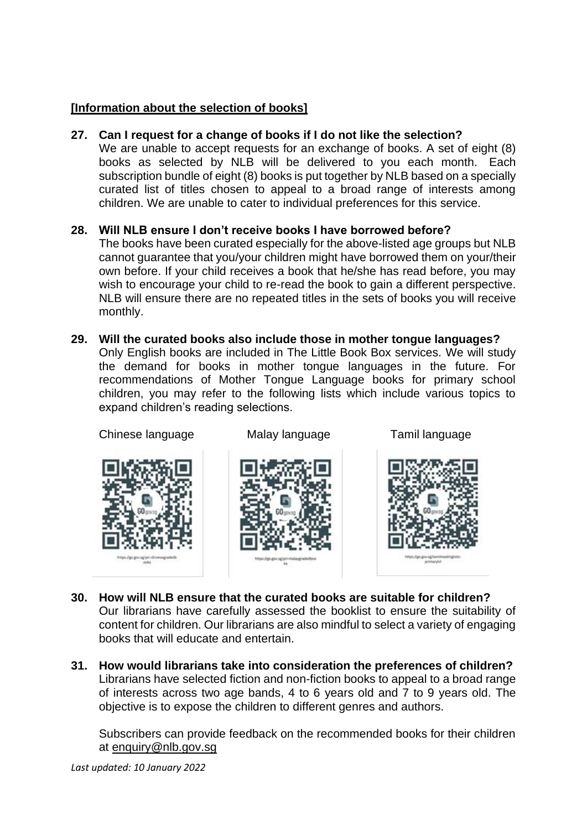# **[Information about the selection of books]**

# **27. Can I request for a change of books if I do not like the selection?**

We are unable to accept requests for an exchange of books. A set of eight (8) books as selected by NLB will be delivered to you each month. Each subscription bundle of eight (8) books is put together by NLB based on a specially curated list of titles chosen to appeal to a broad range of interests among children. We are unable to cater to individual preferences for this service.

# **28. Will NLB ensure I don't receive books I have borrowed before?**

The books have been curated especially for the above-listed age groups but NLB cannot guarantee that you/your children might have borrowed them on your/their own before. If your child receives a book that he/she has read before, you may wish to encourage your child to re-read the book to gain a different perspective. NLB will ensure there are no repeated titles in the sets of books you will receive monthly.

# **29. Will the curated books also include those in mother tongue languages?**

Only English books are included in The Little Book Box services. We will study the demand for books in mother tongue languages in the future. For recommendations of Mother Tongue Language books for primary school children, you may refer to the following lists which include various topics to expand children's reading selections.

Chinese language Malay language Tamil language







- **30. How will NLB ensure that the curated books are suitable for children?** Our librarians have carefully assessed the booklist to ensure the suitability of content for children. Our librarians are also mindful to select a variety of engaging books that will educate and entertain.
- **31. How would librarians take into consideration the preferences of children?** Librarians have selected fiction and non-fiction books to appeal to a broad range of interests across two age bands, 4 to 6 years old and 7 to 9 years old. The objective is to expose the children to different genres and authors.

Subscribers can provide feedback on the recommended books for their children at [enquiry@nlb.gov.sg](mailto:enquiry@nlb.gov.sg)

*Last updated: 10 January 2022*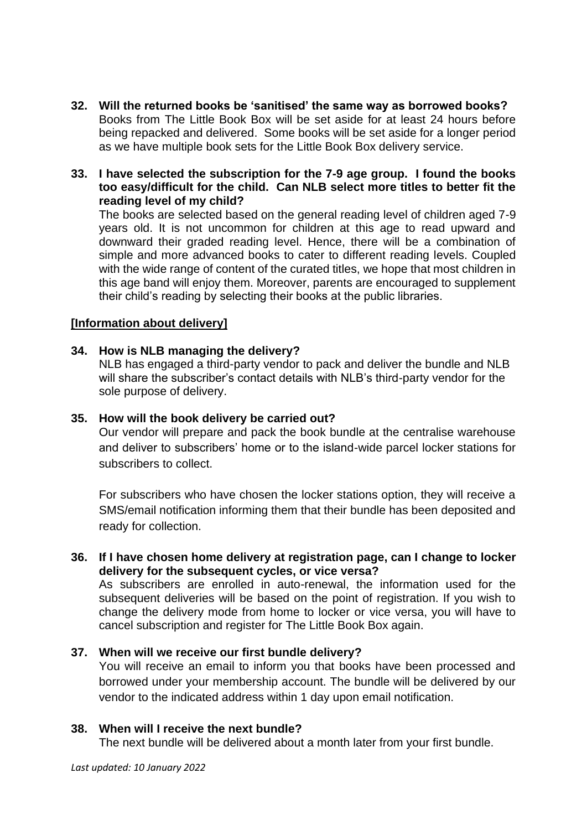**32. Will the returned books be 'sanitised' the same way as borrowed books?**  Books from The Little Book Box will be set aside for at least 24 hours before being repacked and delivered. Some books will be set aside for a longer period as we have multiple book sets for the Little Book Box delivery service.

#### **33. I have selected the subscription for the 7-9 age group. I found the books too easy/difficult for the child. Can NLB select more titles to better fit the reading level of my child?**

The books are selected based on the general reading level of children aged 7-9 years old. It is not uncommon for children at this age to read upward and downward their graded reading level. Hence, there will be a combination of simple and more advanced books to cater to different reading levels. Coupled with the wide range of content of the curated titles, we hope that most children in this age band will enjoy them. Moreover, parents are encouraged to supplement their child's reading by selecting their books at the public libraries.

#### **[Information about delivery]**

#### **34. How is NLB managing the delivery?**

NLB has engaged a third-party vendor to pack and deliver the bundle and NLB will share the subscriber's contact details with NLB's third-party vendor for the sole purpose of delivery.

#### **35. How will the book delivery be carried out?**

Our vendor will prepare and pack the book bundle at the centralise warehouse and deliver to subscribers' home or to the island-wide parcel locker stations for subscribers to collect.

For subscribers who have chosen the locker stations option, they will receive a SMS/email notification informing them that their bundle has been deposited and ready for collection.

### **36. If I have chosen home delivery at registration page, can I change to locker delivery for the subsequent cycles, or vice versa?**

As subscribers are enrolled in auto-renewal, the information used for the subsequent deliveries will be based on the point of registration. If you wish to change the delivery mode from home to locker or vice versa, you will have to cancel subscription and register for The Little Book Box again.

#### **37. When will we receive our first bundle delivery?**

You will receive an email to inform you that books have been processed and borrowed under your membership account. The bundle will be delivered by our vendor to the indicated address within 1 day upon email notification.

#### **38. When will I receive the next bundle?**

The next bundle will be delivered about a month later from your first bundle.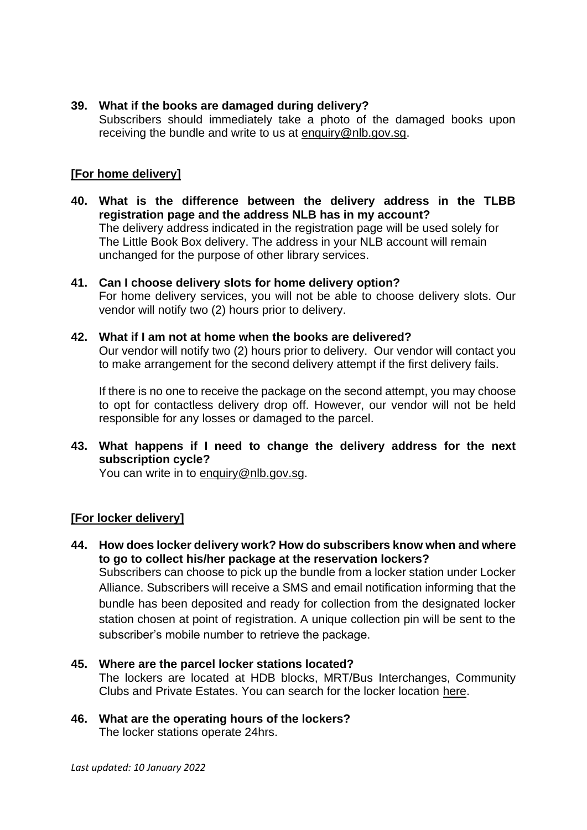### **39. What if the books are damaged during delivery?**

Subscribers should immediately take a photo of the damaged books upon receiving the bundle and write to us at [enquiry@nlb.gov.sg.](mailto:enquiry@nlb.gov.sg)

### **[For home delivery]**

- **40. What is the difference between the delivery address in the TLBB registration page and the address NLB has in my account?**  The delivery address indicated in the registration page will be used solely for The Little Book Box delivery. The address in your NLB account will remain unchanged for the purpose of other library services.
- **41. Can I choose delivery slots for home delivery option?**  For home delivery services, you will not be able to choose delivery slots. Our vendor will notify two (2) hours prior to delivery.
- **42. What if I am not at home when the books are delivered?**  Our vendor will notify two (2) hours prior to delivery. Our vendor will contact you to make arrangement for the second delivery attempt if the first delivery fails.

If there is no one to receive the package on the second attempt, you may choose to opt for contactless delivery drop off. However, our vendor will not be held responsible for any losses or damaged to the parcel.

**43. What happens if I need to change the delivery address for the next subscription cycle?**

You can write in to [enquiry@nlb.gov.sg.](mailto:enquiry@nlb.gov.sg)

# **[For locker delivery]**

**44. How does locker delivery work? How do subscribers know when and where to go to collect his/her package at the reservation lockers?** Subscribers can choose to pick up the bundle from a locker station under Locker Alliance. Subscribers will receive a SMS and email notification informing that the bundle has been deposited and ready for collection from the designated locker

station chosen at point of registration. A unique collection pin will be sent to the subscriber's mobile number to retrieve the package.

- **45. Where are the parcel locker stations located?** The lockers are located at HDB blocks, MRT/Bus Interchanges, Community Clubs and Private Estates. You can search for the locker location [here.](https://www.lockeralliance.net/lockers)
- **46. What are the operating hours of the lockers?** The locker stations operate 24hrs.